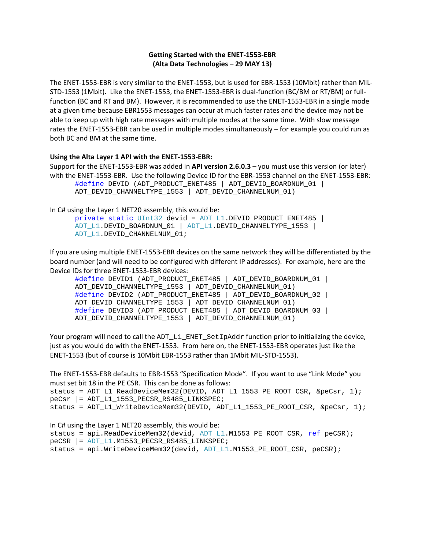# **Getting Started with the ENET‐1553‐EBR (Alta Data Technologies – 29 MAY 13)**

The ENET‐1553‐EBR is very similar to the ENET‐1553, but is used for EBR‐1553 (10Mbit) rather than MIL‐ STD‐1553 (1Mbit). Like the ENET‐1553, the ENET‐1553‐EBR is dual‐function (BC/BM or RT/BM) or full‐ function (BC and RT and BM). However, it is recommended to use the ENET‐1553‐EBR in a single mode at a given time because EBR1553 messages can occur at much faster rates and the device may not be able to keep up with high rate messages with multiple modes at the same time. With slow message rates the ENET‐1553‐EBR can be used in multiple modes simultaneously – for example you could run as both BC and BM at the same time.

### **Using the Alta Layer 1 API with the ENET‐1553‐EBR:**

```
Support for the ENET‐1553‐EBR was added in API version 2.6.0.3 – you must use this version (or later)
with the ENET-1553-EBR. Use the following Device ID for the EBR-1553 channel on the ENET-1553-EBR:
       #define DEVID (ADT_PRODUCT_ENET485 | ADT_DEVID_BOARDNUM_01 | 
       ADT_DEVID_CHANNELTYPE_1553 | ADT_DEVID_CHANNELNUM_01)
```
### In C# using the Layer 1 NET20 assembly, this would be:

```
private static UInt32 devid = ADT_L1.DEVID_PRODUCT_ENET485 | 
ADT_L1.DEVID_BOARDNUM_01 | ADT_L1.DEVID_CHANNELTYPE_1553 |
ADT_L1.DEVID_CHANNELNUM_01;
```
If you are using multiple ENET‐1553‐EBR devices on the same network they will be differentiated by the board number (and will need to be configured with different IP addresses). For example, here are the Device IDs for three ENET‐1553‐EBR devices:

```
#define DEVID1 (ADT_PRODUCT_ENET485 | ADT_DEVID_BOARDNUM_01 | 
ADT_DEVID_CHANNELTYPE_1553 | ADT_DEVID_CHANNELNUM_01)
#define DEVID2 (ADT_PRODUCT_ENET485 | ADT_DEVID_BOARDNUM_02 | 
ADT_DEVID_CHANNELTYPE_1553 | ADT_DEVID_CHANNELNUM_01)
#define DEVID3 (ADT_PRODUCT_ENET485 | ADT_DEVID_BOARDNUM_03 | 
ADT_DEVID_CHANNELTYPE_1553 | ADT_DEVID_CHANNELNUM_01)
```
Your program will need to call the ADT\_L1\_ENET\_SetIpAddr function prior to initializing the device, just as you would do with the ENET‐1553. From here on, the ENET‐1553‐EBR operates just like the ENET‐1553 (but of course is 10Mbit EBR‐1553 rather than 1Mbit MIL‐STD‐1553).

The ENET‐1553‐EBR defaults to EBR‐1553 "Specification Mode". If you want to use "Link Mode" you must set bit 18 in the PE CSR. This can be done as follows:

status = ADT\_L1\_ReadDeviceMem32(DEVID, ADT\_L1\_1553\_PE\_ROOT\_CSR, &peCsr, 1); peCsr |= ADT\_L1\_1553\_PECSR\_RS485\_LINKSPEC;

status = ADT\_L1\_WriteDeviceMem32(DEVID, ADT\_L1\_1553\_PE\_ROOT\_CSR, &peCsr, 1);

In C# using the Layer 1 NET20 assembly, this would be:

status = api.ReadDeviceMem32(devid, ADT\_L1.M1553\_PE\_ROOT\_CSR, ref peCSR);

peCSR |= ADT\_L1.M1553\_PECSR\_RS485\_LINKSPEC;

```
status = api.WriteDeviceMem32(devid, ADT_L1.M1553_PE_ROOT_CSR, peCSR);
```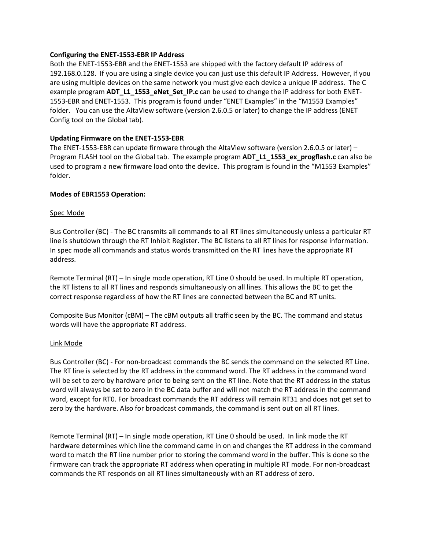### **Configuring the ENET‐1553‐EBR IP Address**

Both the ENET‐1553‐EBR and the ENET‐1553 are shipped with the factory default IP address of 192.168.0.128. If you are using a single device you can just use this default IP Address. However, if you are using multiple devices on the same network you must give each device a unique IP address. The C example program **ADT\_L1\_1553\_eNet\_Set\_IP.c** can be used to change the IP address for both ENET‐ 1553‐EBR and ENET‐1553. This program is found under "ENET Examples" in the "M1553 Examples" folder. You can use the AltaView software (version 2.6.0.5 or later) to change the IP address (ENET Config tool on the Global tab).

### **Updating Firmware on the ENET‐1553‐EBR**

The ENET-1553-EBR can update firmware through the AltaView software (version 2.6.0.5 or later) – Program FLASH tool on the Global tab. The example program **ADT\_L1\_1553\_ex\_progflash.c** can also be used to program a new firmware load onto the device. This program is found in the "M1553 Examples" folder.

### **Modes of EBR1553 Operation:**

### Spec Mode

Bus Controller (BC) ‐ The BC transmits all commands to all RT lines simultaneously unless a particular RT line is shutdown through the RT Inhibit Register. The BC listens to all RT lines for response information. In spec mode all commands and status words transmitted on the RT lines have the appropriate RT address.

Remote Terminal (RT) – In single mode operation, RT Line 0 should be used. In multiple RT operation, the RT listens to all RT lines and responds simultaneously on all lines. This allows the BC to get the correct response regardless of how the RT lines are connected between the BC and RT units.

Composite Bus Monitor (cBM) – The cBM outputs all traffic seen by the BC. The command and status words will have the appropriate RT address.

#### Link Mode

Bus Controller (BC) ‐ For non‐broadcast commands the BC sends the command on the selected RT Line. The RT line is selected by the RT address in the command word. The RT address in the command word will be set to zero by hardware prior to being sent on the RT line. Note that the RT address in the status word will always be set to zero in the BC data buffer and will not match the RT address in the command word, except for RT0. For broadcast commands the RT address will remain RT31 and does not get set to zero by the hardware. Also for broadcast commands, the command is sent out on all RT lines.

Remote Terminal (RT) – In single mode operation, RT Line 0 should be used. In link mode the RT hardware determines which line the command came in on and changes the RT address in the command word to match the RT line number prior to storing the command word in the buffer. This is done so the firmware can track the appropriate RT address when operating in multiple RT mode. For non‐broadcast commands the RT responds on all RT lines simultaneously with an RT address of zero.